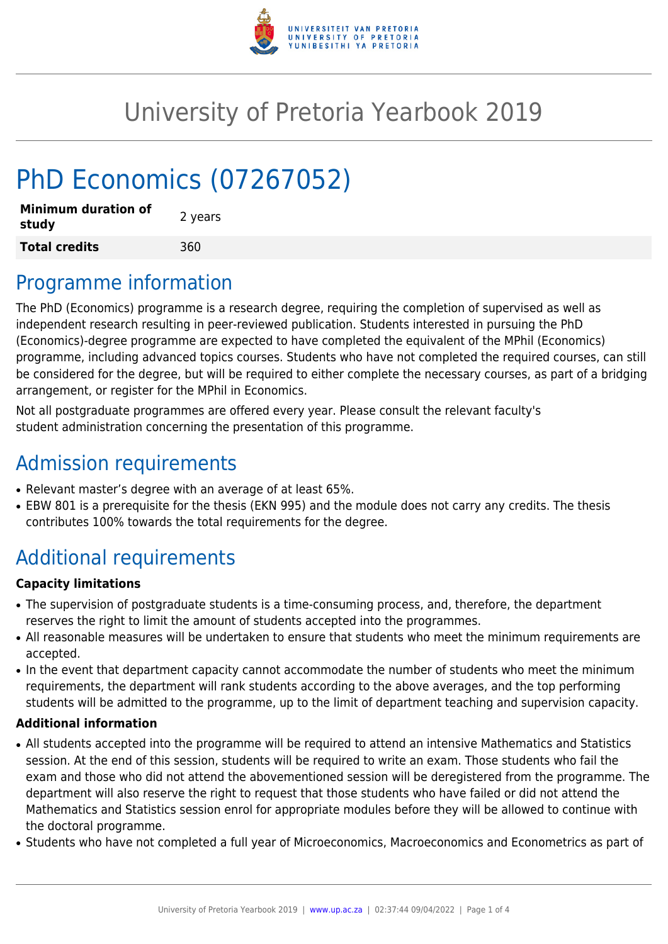

# University of Pretoria Yearbook 2019

# PhD Economics (07267052)

| <b>Minimum duration of</b><br>study | 2 years |
|-------------------------------------|---------|
| <b>Total credits</b>                | 360     |

### Programme information

The PhD (Economics) programme is a research degree, requiring the completion of supervised as well as independent research resulting in peer-reviewed publication. Students interested in pursuing the PhD (Economics)-degree programme are expected to have completed the equivalent of the MPhil (Economics) programme, including advanced topics courses. Students who have not completed the required courses, can still be considered for the degree, but will be required to either complete the necessary courses, as part of a bridging arrangement, or register for the MPhil in Economics.

Not all postgraduate programmes are offered every year. Please consult the relevant faculty's student administration concerning the presentation of this programme.

## Admission requirements

- Relevant master's degree with an average of at least 65%.
- EBW 801 is a prerequisite for the thesis (EKN 995) and the module does not carry any credits. The thesis contributes 100% towards the total requirements for the degree.

## Additional requirements

#### **Capacity limitations**

- The supervision of postgraduate students is a time-consuming process, and, therefore, the department reserves the right to limit the amount of students accepted into the programmes.
- All reasonable measures will be undertaken to ensure that students who meet the minimum requirements are accepted.
- In the event that department capacity cannot accommodate the number of students who meet the minimum requirements, the department will rank students according to the above averages, and the top performing students will be admitted to the programme, up to the limit of department teaching and supervision capacity.

#### **Additional information**

- All students accepted into the programme will be required to attend an intensive Mathematics and Statistics session. At the end of this session, students will be required to write an exam. Those students who fail the exam and those who did not attend the abovementioned session will be deregistered from the programme. The department will also reserve the right to request that those students who have failed or did not attend the Mathematics and Statistics session enrol for appropriate modules before they will be allowed to continue with the doctoral programme.
- Students who have not completed a full year of Microeconomics, Macroeconomics and Econometrics as part of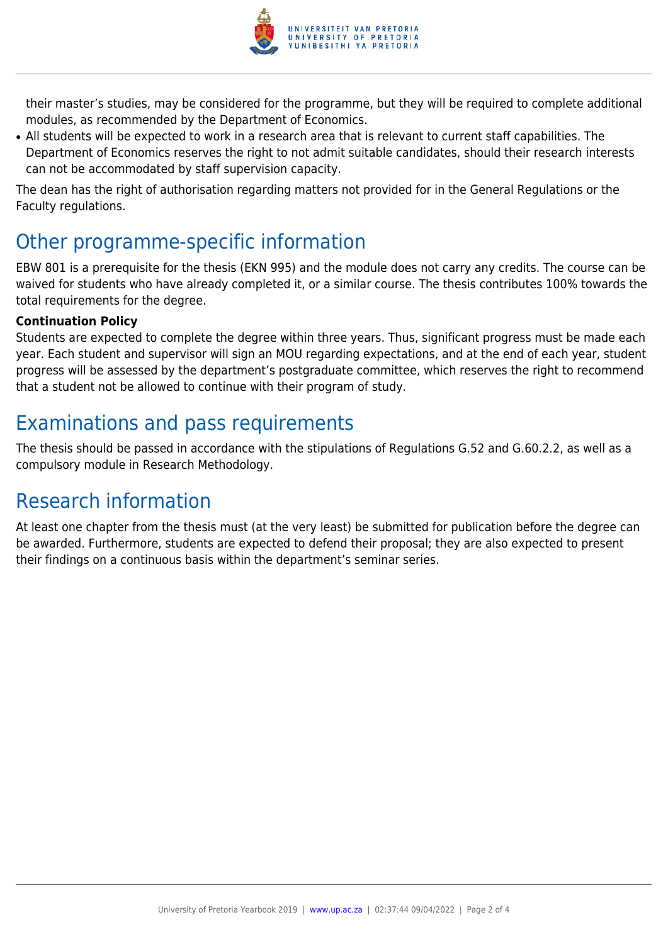

their master's studies, may be considered for the programme, but they will be required to complete additional modules, as recommended by the Department of Economics.

• All students will be expected to work in a research area that is relevant to current staff capabilities. The Department of Economics reserves the right to not admit suitable candidates, should their research interests can not be accommodated by staff supervision capacity.

The dean has the right of authorisation regarding matters not provided for in the General Regulations or the Faculty regulations.

### Other programme-specific information

EBW 801 is a prerequisite for the thesis (EKN 995) and the module does not carry any credits. The course can be waived for students who have already completed it, or a similar course. The thesis contributes 100% towards the total requirements for the degree.

#### **Continuation Policy**

Students are expected to complete the degree within three years. Thus, significant progress must be made each year. Each student and supervisor will sign an MOU regarding expectations, and at the end of each year, student progress will be assessed by the department's postgraduate committee, which reserves the right to recommend that a student not be allowed to continue with their program of study.

## Examinations and pass requirements

The thesis should be passed in accordance with the stipulations of Regulations G.52 and G.60.2.2, as well as a compulsory module in Research Methodology.

### Research information

At least one chapter from the thesis must (at the very least) be submitted for publication before the degree can be awarded. Furthermore, students are expected to defend their proposal; they are also expected to present their findings on a continuous basis within the department's seminar series.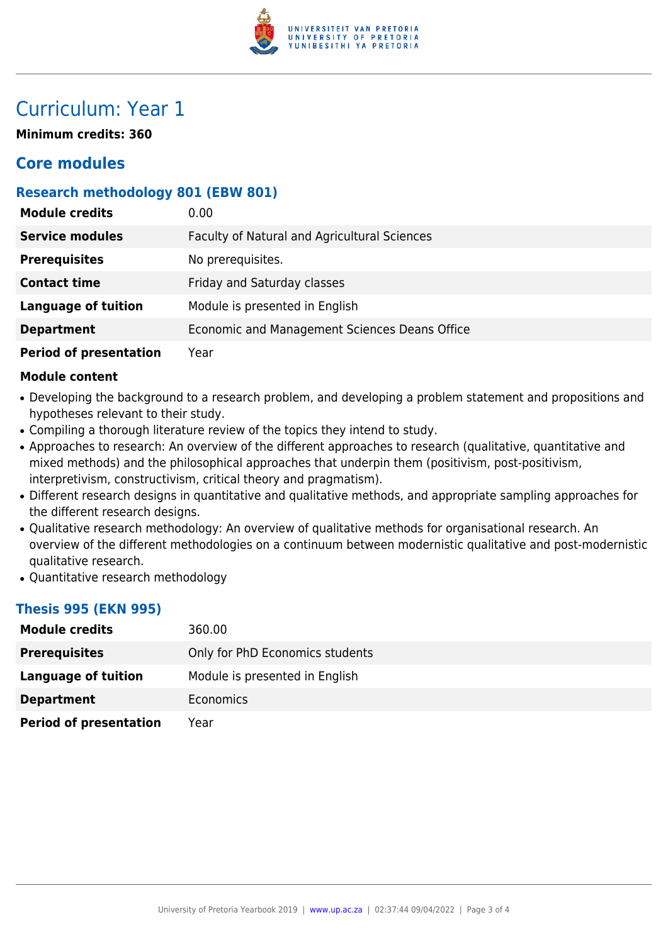

### Curriculum: Year 1

**Minimum credits: 360**

### **Core modules**

#### **Research methodology 801 (EBW 801)**

| <b>Module credits</b>         | 0.00                                          |
|-------------------------------|-----------------------------------------------|
| <b>Service modules</b>        | Faculty of Natural and Agricultural Sciences  |
| <b>Prerequisites</b>          | No prerequisites.                             |
| <b>Contact time</b>           | Friday and Saturday classes                   |
| <b>Language of tuition</b>    | Module is presented in English                |
| <b>Department</b>             | Economic and Management Sciences Deans Office |
| <b>Period of presentation</b> | Year                                          |

#### **Module content**

- Developing the background to a research problem, and developing a problem statement and propositions and hypotheses relevant to their study.
- Compiling a thorough literature review of the topics they intend to study.
- Approaches to research: An overview of the different approaches to research (qualitative, quantitative and mixed methods) and the philosophical approaches that underpin them (positivism, post-positivism, interpretivism, constructivism, critical theory and pragmatism).
- Different research designs in quantitative and qualitative methods, and appropriate sampling approaches for the different research designs.
- Qualitative research methodology: An overview of qualitative methods for organisational research. An overview of the different methodologies on a continuum between modernistic qualitative and post-modernistic qualitative research.
- Quantitative research methodology

#### **Thesis 995 (EKN 995)**

| <b>Module credits</b>         | 360.00                          |
|-------------------------------|---------------------------------|
| <b>Prerequisites</b>          | Only for PhD Economics students |
| Language of tuition           | Module is presented in English  |
| <b>Department</b>             | <b>Economics</b>                |
| <b>Period of presentation</b> | Year                            |